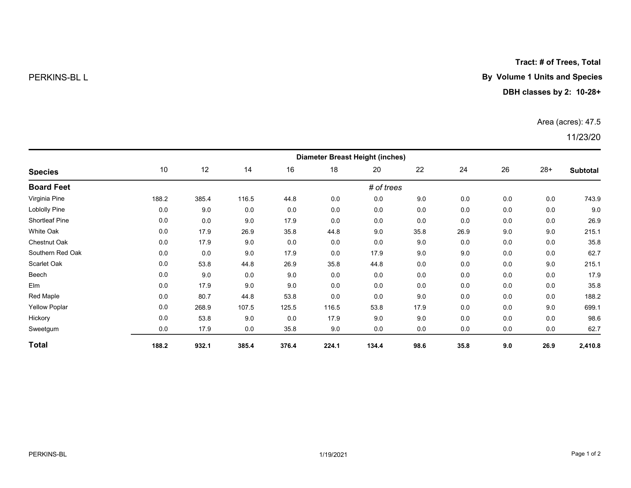Tract: # of Trees, Total

# PERKINS-BL L **By Volume 1 Units and Species**

## DBH classes by 2: 10-28+

## Area (acres): 47.5

# 11/23/20

| <b>Species</b>        | <b>Diameter Breast Height (inches)</b> |       |       |       |       |       |      |      |     |       |                 |  |
|-----------------------|----------------------------------------|-------|-------|-------|-------|-------|------|------|-----|-------|-----------------|--|
|                       | 10                                     | 12    | 14    | 16    | 18    | 20    | 22   | 24   | 26  | $28+$ | <b>Subtotal</b> |  |
| <b>Board Feet</b>     | # of trees                             |       |       |       |       |       |      |      |     |       |                 |  |
| Virginia Pine         | 188.2                                  | 385.4 | 116.5 | 44.8  | 0.0   | 0.0   | 9.0  | 0.0  | 0.0 | 0.0   | 743.9           |  |
| <b>Loblolly Pine</b>  | 0.0                                    | 9.0   | 0.0   | 0.0   | 0.0   | 0.0   | 0.0  | 0.0  | 0.0 | 0.0   | 9.0             |  |
| <b>Shortleaf Pine</b> | 0.0                                    | 0.0   | 9.0   | 17.9  | 0.0   | 0.0   | 0.0  | 0.0  | 0.0 | 0.0   | 26.9            |  |
| White Oak             | 0.0                                    | 17.9  | 26.9  | 35.8  | 44.8  | 9.0   | 35.8 | 26.9 | 9.0 | 9.0   | 215.1           |  |
| Chestnut Oak          | 0.0                                    | 17.9  | 9.0   | 0.0   | 0.0   | 0.0   | 9.0  | 0.0  | 0.0 | 0.0   | 35.8            |  |
| Southern Red Oak      | 0.0                                    | 0.0   | 9.0   | 17.9  | 0.0   | 17.9  | 9.0  | 9.0  | 0.0 | 0.0   | 62.7            |  |
| Scarlet Oak           | 0.0                                    | 53.8  | 44.8  | 26.9  | 35.8  | 44.8  | 0.0  | 0.0  | 0.0 | 9.0   | 215.1           |  |
| Beech                 | 0.0                                    | 9.0   | 0.0   | 9.0   | 0.0   | 0.0   | 0.0  | 0.0  | 0.0 | 0.0   | 17.9            |  |
| Elm                   | 0.0                                    | 17.9  | 9.0   | 9.0   | 0.0   | 0.0   | 0.0  | 0.0  | 0.0 | 0.0   | 35.8            |  |
| Red Maple             | 0.0                                    | 80.7  | 44.8  | 53.8  | 0.0   | 0.0   | 9.0  | 0.0  | 0.0 | 0.0   | 188.2           |  |
| <b>Yellow Poplar</b>  | 0.0                                    | 268.9 | 107.5 | 125.5 | 116.5 | 53.8  | 17.9 | 0.0  | 0.0 | 9.0   | 699.1           |  |
| Hickory               | 0.0                                    | 53.8  | 9.0   | 0.0   | 17.9  | 9.0   | 9.0  | 0.0  | 0.0 | 0.0   | 98.6            |  |
| Sweetgum              | 0.0                                    | 17.9  | 0.0   | 35.8  | 9.0   | 0.0   | 0.0  | 0.0  | 0.0 | 0.0   | 62.7            |  |
| <b>Total</b>          | 188.2                                  | 932.1 | 385.4 | 376.4 | 224.1 | 134.4 | 98.6 | 35.8 | 9.0 | 26.9  | 2,410.8         |  |